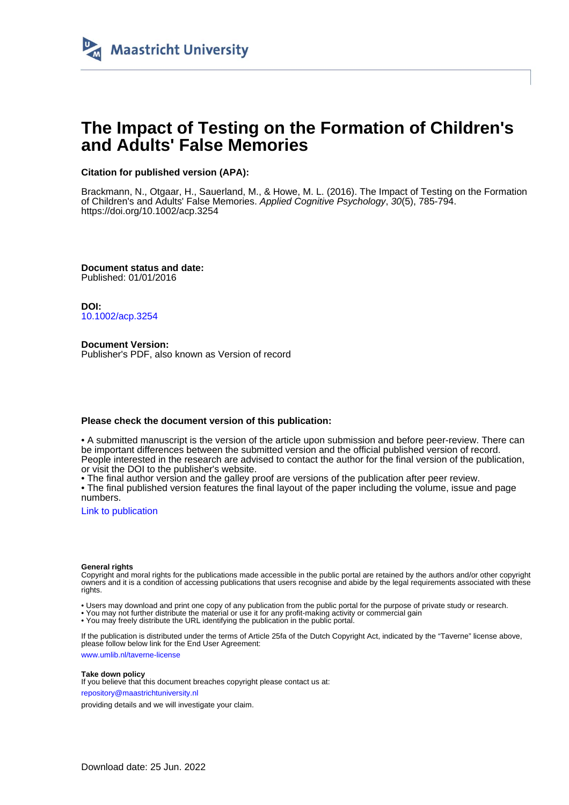

# **The Impact of Testing on the Formation of Children's and Adults' False Memories**

# **Citation for published version (APA):**

Brackmann, N., Otgaar, H., Sauerland, M., & Howe, M. L. (2016). The Impact of Testing on the Formation of Children's and Adults' False Memories. Applied Cognitive Psychology, 30(5), 785-794. <https://doi.org/10.1002/acp.3254>

**Document status and date:** Published: 01/01/2016

**DOI:** [10.1002/acp.3254](https://doi.org/10.1002/acp.3254)

**Document Version:** Publisher's PDF, also known as Version of record

#### **Please check the document version of this publication:**

• A submitted manuscript is the version of the article upon submission and before peer-review. There can be important differences between the submitted version and the official published version of record. People interested in the research are advised to contact the author for the final version of the publication, or visit the DOI to the publisher's website.

• The final author version and the galley proof are versions of the publication after peer review.

• The final published version features the final layout of the paper including the volume, issue and page numbers.

[Link to publication](https://cris.maastrichtuniversity.nl/en/publications/4d16dc7f-3dc2-4565-bad7-a4a4b626e568)

#### **General rights**

Copyright and moral rights for the publications made accessible in the public portal are retained by the authors and/or other copyright owners and it is a condition of accessing publications that users recognise and abide by the legal requirements associated with these rights.

• Users may download and print one copy of any publication from the public portal for the purpose of private study or research.

• You may not further distribute the material or use it for any profit-making activity or commercial gain

• You may freely distribute the URL identifying the publication in the public portal.

If the publication is distributed under the terms of Article 25fa of the Dutch Copyright Act, indicated by the "Taverne" license above, please follow below link for the End User Agreement:

www.umlib.nl/taverne-license

#### **Take down policy**

If you believe that this document breaches copyright please contact us at: repository@maastrichtuniversity.nl

providing details and we will investigate your claim.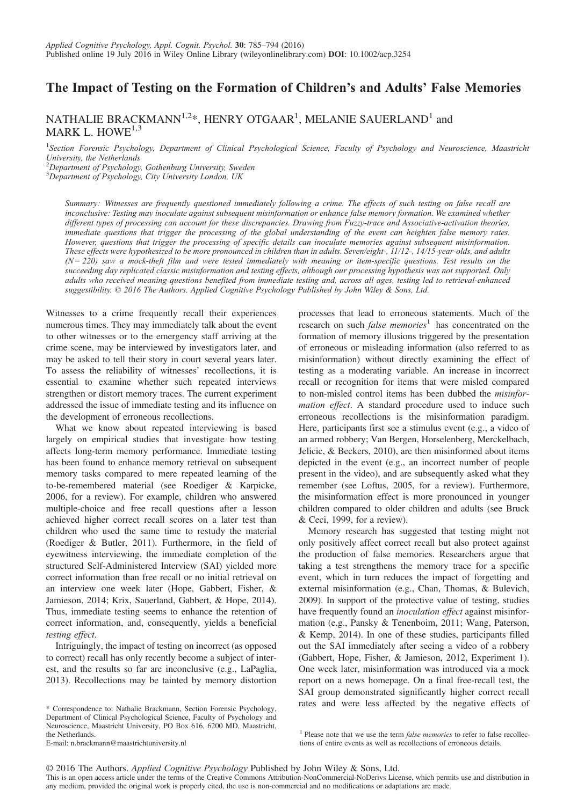# The Impact of Testing on the Formation of Children's and Adults' False Memories

# NATHALIE BRACKMANN $^{1,2}$ \*, HENRY OTGAAR<sup>1</sup>, MELANIE SAUERLAND<sup>1</sup> and MARK L. HOWF<sup>1,3</sup>

<sup>1</sup>Section Forensic Psychology, Department of Clinical Psychological Science, Faculty of Psychology and Neuroscience, Maastricht University, the Netherlands

<sup>2</sup>Department of Psychology, Gothenburg University, Sweden

<sup>3</sup>Department of Psychology, City University London, UK

Summary: Witnesses are frequently questioned immediately following a crime. The effects of such testing on false recall are inconclusive: Testing may inoculate against subsequent misinformation or enhance false memory formation. We examined whether different types of processing can account for these discrepancies. Drawing from Fuzzy-trace and Associative-activation theories, immediate questions that trigger the processing of the global understanding of the event can heighten false memory rates. However, questions that trigger the processing of specific details can inoculate memories against subsequent misinformation. These effects were hypothesized to be more pronounced in children than in adults. Seven/eight-, 11/12-, 14/15-year-olds, and adults  $(N = 220)$  saw a mock-theft film and were tested immediately with meaning or item-specific questions. Test results on the succeeding day replicated classic misinformation and testing effects, although our processing hypothesis was not supported. Only adults who received meaning questions benefited from immediate testing and, across all ages, testing led to retrieval-enhanced suggestibility. © 2016 The Authors. Applied Cognitive Psychology Published by John Wiley & Sons, Ltd.

Witnesses to a crime frequently recall their experiences numerous times. They may immediately talk about the event to other witnesses or to the emergency staff arriving at the crime scene, may be interviewed by investigators later, and may be asked to tell their story in court several years later. To assess the reliability of witnesses' recollections, it is essential to examine whether such repeated interviews strengthen or distort memory traces. The current experiment addressed the issue of immediate testing and its influence on the development of erroneous recollections.

What we know about repeated interviewing is based largely on empirical studies that investigate how testing affects long-term memory performance. Immediate testing has been found to enhance memory retrieval on subsequent memory tasks compared to mere repeated learning of the to-be-remembered material (see Roediger & Karpicke, 2006, for a review). For example, children who answered multiple-choice and free recall questions after a lesson achieved higher correct recall scores on a later test than children who used the same time to restudy the material (Roediger & Butler, 2011). Furthermore, in the field of eyewitness interviewing, the immediate completion of the structured Self-Administered Interview (SAI) yielded more correct information than free recall or no initial retrieval on an interview one week later (Hope, Gabbert, Fisher, & Jamieson, 2014; Krix, Sauerland, Gabbert, & Hope, 2014). Thus, immediate testing seems to enhance the retention of correct information, and, consequently, yields a beneficial testing effect.

Intriguingly, the impact of testing on incorrect (as opposed to correct) recall has only recently become a subject of interest, and the results so far are inconclusive (e.g., LaPaglia, 2013). Recollections may be tainted by memory distortion

\* Correspondence to: Nathalie Brackmann, Section Forensic Psychology, Department of Clinical Psychological Science, Faculty of Psychology and Neuroscience, Maastricht University, PO Box 616, 6200 MD, Maastricht, the Netherlands.

processes that lead to erroneous statements. Much of the research on such *false memories*<sup>1</sup> has concentrated on the formation of memory illusions triggered by the presentation of erroneous or misleading information (also referred to as misinformation) without directly examining the effect of testing as a moderating variable. An increase in incorrect recall or recognition for items that were misled compared to non-misled control items has been dubbed the misinformation effect. A standard procedure used to induce such erroneous recollections is the misinformation paradigm. Here, participants first see a stimulus event (e.g., a video of an armed robbery; Van Bergen, Horselenberg, Merckelbach, Jelicic, & Beckers, 2010), are then misinformed about items depicted in the event (e.g., an incorrect number of people present in the video), and are subsequently asked what they remember (see Loftus, 2005, for a review). Furthermore, the misinformation effect is more pronounced in younger children compared to older children and adults (see Bruck & Ceci, 1999, for a review).

Memory research has suggested that testing might not only positively affect correct recall but also protect against the production of false memories. Researchers argue that taking a test strengthens the memory trace for a specific event, which in turn reduces the impact of forgetting and external misinformation (e.g., Chan, Thomas, & Bulevich, 2009). In support of the protective value of testing, studies have frequently found an *inoculation effect* against misinformation (e.g., Pansky & Tenenboim, 2011; Wang, Paterson, & Kemp, 2014). In one of these studies, participants filled out the SAI immediately after seeing a video of a robbery (Gabbert, Hope, Fisher, & Jamieson, 2012, Experiment 1). One week later, misinformation was introduced via a mock report on a news homepage. On a final free-recall test, the SAI group demonstrated significantly higher correct recall rates and were less affected by the negative effects of

 $1$  Please note that we use the term *false memories* to refer to false recollec-

tions of entire events as well as recollections of erroneous details.

E-mail: n.brackmann@maastrichtuniversity.nl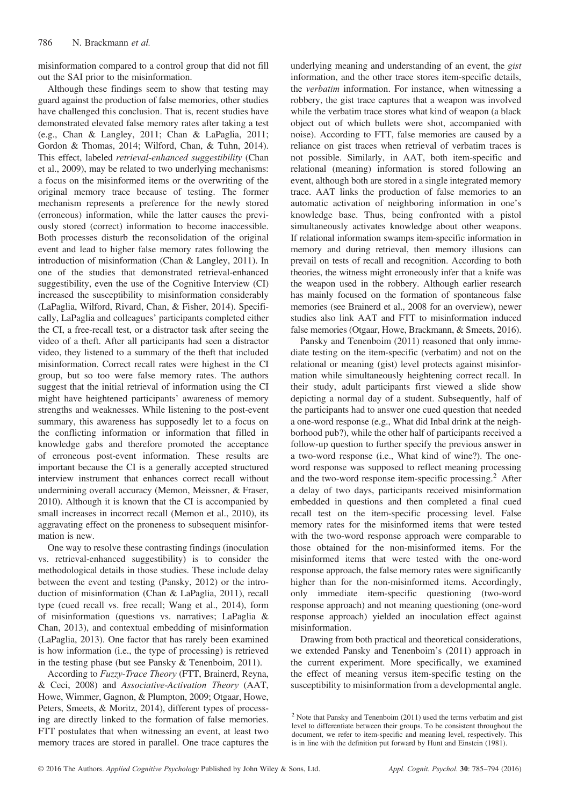misinformation compared to a control group that did not fill out the SAI prior to the misinformation.

Although these findings seem to show that testing may guard against the production of false memories, other studies have challenged this conclusion. That is, recent studies have demonstrated elevated false memory rates after taking a test (e.g., Chan & Langley, 2011; Chan & LaPaglia, 2011; Gordon & Thomas, 2014; Wilford, Chan, & Tuhn, 2014). This effect, labeled retrieval-enhanced suggestibility (Chan et al., 2009), may be related to two underlying mechanisms: a focus on the misinformed items or the overwriting of the original memory trace because of testing. The former mechanism represents a preference for the newly stored (erroneous) information, while the latter causes the previously stored (correct) information to become inaccessible. Both processes disturb the reconsolidation of the original event and lead to higher false memory rates following the introduction of misinformation (Chan & Langley, 2011). In one of the studies that demonstrated retrieval-enhanced suggestibility, even the use of the Cognitive Interview (CI) increased the susceptibility to misinformation considerably (LaPaglia, Wilford, Rivard, Chan, & Fisher, 2014). Specifically, LaPaglia and colleagues' participants completed either the CI, a free-recall test, or a distractor task after seeing the video of a theft. After all participants had seen a distractor video, they listened to a summary of the theft that included misinformation. Correct recall rates were highest in the CI group, but so too were false memory rates. The authors suggest that the initial retrieval of information using the CI might have heightened participants' awareness of memory strengths and weaknesses. While listening to the post-event summary, this awareness has supposedly let to a focus on the conflicting information or information that filled in knowledge gabs and therefore promoted the acceptance of erroneous post-event information. These results are important because the CI is a generally accepted structured interview instrument that enhances correct recall without undermining overall accuracy (Memon, Meissner, & Fraser, 2010). Although it is known that the CI is accompanied by small increases in incorrect recall (Memon et al., 2010), its aggravating effect on the proneness to subsequent misinformation is new.

One way to resolve these contrasting findings (inoculation vs. retrieval-enhanced suggestibility) is to consider the methodological details in those studies. These include delay between the event and testing (Pansky, 2012) or the introduction of misinformation (Chan & LaPaglia, 2011), recall type (cued recall vs. free recall; Wang et al., 2014), form of misinformation (questions vs. narratives; LaPaglia & Chan, 2013), and contextual embedding of misinformation (LaPaglia, 2013). One factor that has rarely been examined is how information (i.e., the type of processing) is retrieved in the testing phase (but see Pansky & Tenenboim, 2011).

According to Fuzzy-Trace Theory (FTT, Brainerd, Reyna, & Ceci, 2008) and Associative-Activation Theory (AAT, Howe, Wimmer, Gagnon, & Plumpton, 2009; Otgaar, Howe, Peters, Smeets, & Moritz, 2014), different types of processing are directly linked to the formation of false memories. FTT postulates that when witnessing an event, at least two memory traces are stored in parallel. One trace captures the underlying meaning and understanding of an event, the gist information, and the other trace stores item-specific details, the verbatim information. For instance, when witnessing a robbery, the gist trace captures that a weapon was involved while the verbatim trace stores what kind of weapon (a black object out of which bullets were shot, accompanied with noise). According to FTT, false memories are caused by a reliance on gist traces when retrieval of verbatim traces is not possible. Similarly, in AAT, both item-specific and relational (meaning) information is stored following an event, although both are stored in a single integrated memory trace. AAT links the production of false memories to an automatic activation of neighboring information in one's knowledge base. Thus, being confronted with a pistol simultaneously activates knowledge about other weapons. If relational information swamps item-specific information in memory and during retrieval, then memory illusions can prevail on tests of recall and recognition. According to both theories, the witness might erroneously infer that a knife was the weapon used in the robbery. Although earlier research has mainly focused on the formation of spontaneous false memories (see Brainerd et al., 2008 for an overview), newer studies also link AAT and FTT to misinformation induced false memories (Otgaar, Howe, Brackmann, & Smeets, 2016).

Pansky and Tenenboim (2011) reasoned that only immediate testing on the item-specific (verbatim) and not on the relational or meaning (gist) level protects against misinformation while simultaneously heightening correct recall. In their study, adult participants first viewed a slide show depicting a normal day of a student. Subsequently, half of the participants had to answer one cued question that needed a one-word response (e.g., What did Inbal drink at the neighborhood pub?), while the other half of participants received a follow-up question to further specify the previous answer in a two-word response (i.e., What kind of wine?). The oneword response was supposed to reflect meaning processing and the two-word response item-specific processing.<sup>2</sup> After a delay of two days, participants received misinformation embedded in questions and then completed a final cued recall test on the item-specific processing level. False memory rates for the misinformed items that were tested with the two-word response approach were comparable to those obtained for the non-misinformed items. For the misinformed items that were tested with the one-word response approach, the false memory rates were significantly higher than for the non-misinformed items. Accordingly, only immediate item-specific questioning (two-word response approach) and not meaning questioning (one-word response approach) yielded an inoculation effect against misinformation.

Drawing from both practical and theoretical considerations, we extended Pansky and Tenenboim's (2011) approach in the current experiment. More specifically, we examined the effect of meaning versus item-specific testing on the susceptibility to misinformation from a developmental angle.

 $2$  Note that Pansky and Tenenboim (2011) used the terms verbatim and gist level to differentiate between their groups. To be consistent throughout the document, we refer to item-specific and meaning level, respectively. This is in line with the definition put forward by Hunt and Einstein (1981).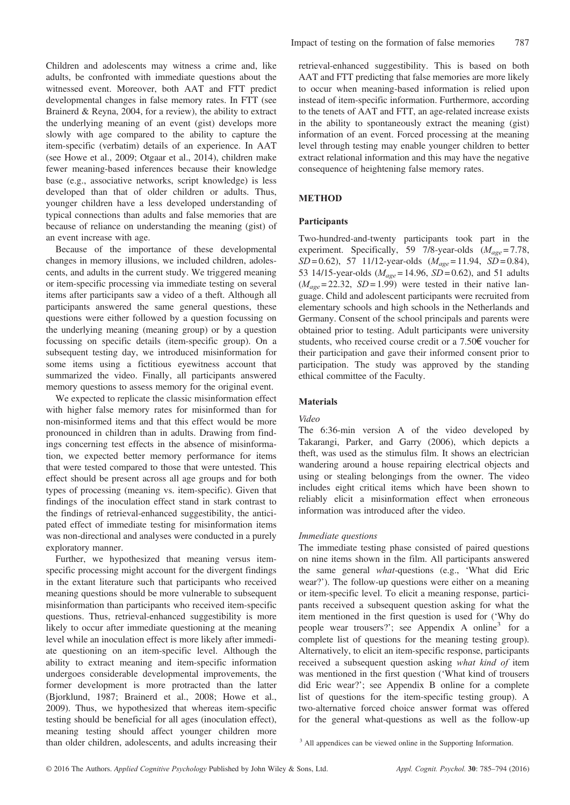Children and adolescents may witness a crime and, like adults, be confronted with immediate questions about the witnessed event. Moreover, both AAT and FTT predict developmental changes in false memory rates. In FTT (see Brainerd & Reyna, 2004, for a review), the ability to extract the underlying meaning of an event (gist) develops more slowly with age compared to the ability to capture the item-specific (verbatim) details of an experience. In AAT (see Howe et al., 2009; Otgaar et al., 2014), children make fewer meaning-based inferences because their knowledge base (e.g., associative networks, script knowledge) is less developed than that of older children or adults. Thus, younger children have a less developed understanding of typical connections than adults and false memories that are because of reliance on understanding the meaning (gist) of an event increase with age.

Because of the importance of these developmental changes in memory illusions, we included children, adolescents, and adults in the current study. We triggered meaning or item-specific processing via immediate testing on several items after participants saw a video of a theft. Although all participants answered the same general questions, these questions were either followed by a question focussing on the underlying meaning (meaning group) or by a question focussing on specific details (item-specific group). On a subsequent testing day, we introduced misinformation for some items using a fictitious eyewitness account that summarized the video. Finally, all participants answered memory questions to assess memory for the original event.

We expected to replicate the classic misinformation effect with higher false memory rates for misinformed than for non-misinformed items and that this effect would be more pronounced in children than in adults. Drawing from findings concerning test effects in the absence of misinformation, we expected better memory performance for items that were tested compared to those that were untested. This effect should be present across all age groups and for both types of processing (meaning vs. item-specific). Given that findings of the inoculation effect stand in stark contrast to the findings of retrieval-enhanced suggestibility, the anticipated effect of immediate testing for misinformation items was non-directional and analyses were conducted in a purely exploratory manner.

Further, we hypothesized that meaning versus itemspecific processing might account for the divergent findings in the extant literature such that participants who received meaning questions should be more vulnerable to subsequent misinformation than participants who received item-specific questions. Thus, retrieval-enhanced suggestibility is more likely to occur after immediate questioning at the meaning level while an inoculation effect is more likely after immediate questioning on an item-specific level. Although the ability to extract meaning and item-specific information undergoes considerable developmental improvements, the former development is more protracted than the latter (Bjorklund, 1987; Brainerd et al., 2008; Howe et al., 2009). Thus, we hypothesized that whereas item-specific testing should be beneficial for all ages (inoculation effect), meaning testing should affect younger children more than older children, adolescents, and adults increasing their

retrieval-enhanced suggestibility. This is based on both AAT and FTT predicting that false memories are more likely to occur when meaning-based information is relied upon instead of item-specific information. Furthermore, according to the tenets of AAT and FTT, an age-related increase exists in the ability to spontaneously extract the meaning (gist) information of an event. Forced processing at the meaning level through testing may enable younger children to better extract relational information and this may have the negative consequence of heightening false memory rates.

## METHOD

#### Participants

Two-hundred-and-twenty participants took part in the experiment. Specifically, 59 7/8-year-olds  $(M_{\text{age}} = 7.78,$  $SD = 0.62$ ), 57 11/12-year-olds  $(M_{age} = 11.94, SD = 0.84)$ , 53 14/15-year-olds ( $M_{age} = 14.96$ ,  $SD = 0.62$ ), and 51 adults  $(M_{\text{age}} = 22.32, SD = 1.99)$  were tested in their native language. Child and adolescent participants were recruited from elementary schools and high schools in the Netherlands and Germany. Consent of the school principals and parents were obtained prior to testing. Adult participants were university students, who received course credit or a 7.50€ voucher for their participation and gave their informed consent prior to participation. The study was approved by the standing ethical committee of the Faculty.

#### Materials

#### Video

The 6:36-min version A of the video developed by Takarangi, Parker, and Garry (2006), which depicts a theft, was used as the stimulus film. It shows an electrician wandering around a house repairing electrical objects and using or stealing belongings from the owner. The video includes eight critical items which have been shown to reliably elicit a misinformation effect when erroneous information was introduced after the video.

#### Immediate questions

The immediate testing phase consisted of paired questions on nine items shown in the film. All participants answered the same general what-questions (e.g., 'What did Eric wear?'). The follow-up questions were either on a meaning or item-specific level. To elicit a meaning response, participants received a subsequent question asking for what the item mentioned in the first question is used for ('Why do people wear trousers?'; see Appendix A online<sup>3</sup> for a complete list of questions for the meaning testing group). Alternatively, to elicit an item-specific response, participants received a subsequent question asking what kind of item was mentioned in the first question ('What kind of trousers did Eric wear?'; see Appendix B online for a complete list of questions for the item-specific testing group). A two-alternative forced choice answer format was offered for the general what-questions as well as the follow-up

<sup>3</sup> All appendices can be viewed online in the Supporting Information.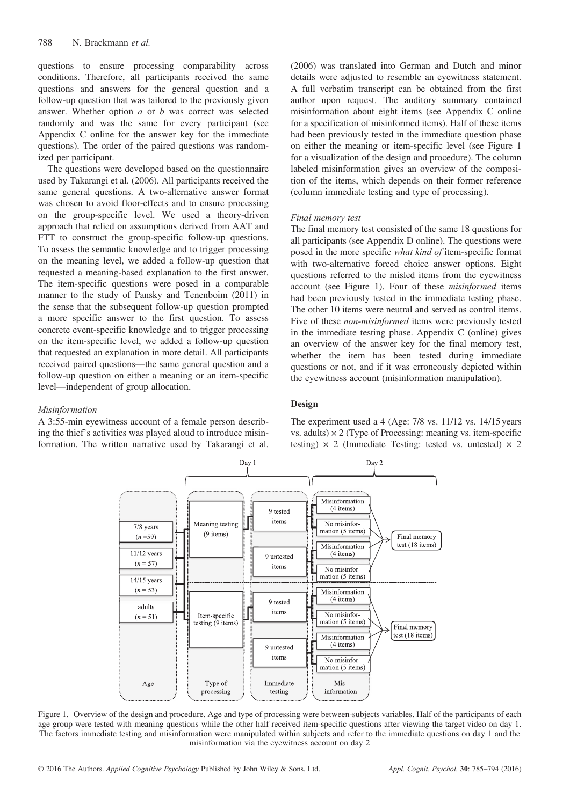questions to ensure processing comparability across conditions. Therefore, all participants received the same questions and answers for the general question and a follow-up question that was tailored to the previously given answer. Whether option  $a$  or  $b$  was correct was selected randomly and was the same for every participant (see Appendix C online for the answer key for the immediate questions). The order of the paired questions was randomized per participant.

The questions were developed based on the questionnaire used by Takarangi et al. (2006). All participants received the same general questions. A two-alternative answer format was chosen to avoid floor-effects and to ensure processing on the group-specific level. We used a theory-driven approach that relied on assumptions derived from AAT and FTT to construct the group-specific follow-up questions. To assess the semantic knowledge and to trigger processing on the meaning level, we added a follow-up question that requested a meaning-based explanation to the first answer. The item-specific questions were posed in a comparable manner to the study of Pansky and Tenenboim (2011) in the sense that the subsequent follow-up question prompted a more specific answer to the first question. To assess concrete event-specific knowledge and to trigger processing on the item-specific level, we added a follow-up question that requested an explanation in more detail. All participants received paired questions—the same general question and a follow-up question on either a meaning or an item-specific level—independent of group allocation.

#### Misinformation

A 3:55-min eyewitness account of a female person describing the thief's activities was played aloud to introduce misinformation. The written narrative used by Takarangi et al. (2006) was translated into German and Dutch and minor details were adjusted to resemble an eyewitness statement. A full verbatim transcript can be obtained from the first author upon request. The auditory summary contained misinformation about eight items (see Appendix C online for a specification of misinformed items). Half of these items had been previously tested in the immediate question phase on either the meaning or item-specific level (see Figure 1 for a visualization of the design and procedure). The column labeled misinformation gives an overview of the composition of the items, which depends on their former reference (column immediate testing and type of processing).

#### Final memory test

The final memory test consisted of the same 18 questions for all participants (see Appendix D online). The questions were posed in the more specific what kind of item-specific format with two-alternative forced choice answer options. Eight questions referred to the misled items from the eyewitness account (see Figure 1). Four of these misinformed items had been previously tested in the immediate testing phase. The other 10 items were neutral and served as control items. Five of these non-misinformed items were previously tested in the immediate testing phase. Appendix C (online) gives an overview of the answer key for the final memory test, whether the item has been tested during immediate questions or not, and if it was erroneously depicted within the eyewitness account (misinformation manipulation).

#### Design

The experiment used a 4 (Age: 7/8 vs. 11/12 vs. 14/15 years vs. adults)  $\times$  2 (Type of Processing: meaning vs. item-specific testing)  $\times$  2 (Immediate Testing: tested vs. untested)  $\times$  2



Figure 1. Overview of the design and procedure. Age and type of processing were between-subjects variables. Half of the participants of each age group were tested with meaning questions while the other half received item-specific questions after viewing the target video on day 1. The factors immediate testing and misinformation were manipulated within subjects and refer to the immediate questions on day 1 and the misinformation via the eyewitness account on day 2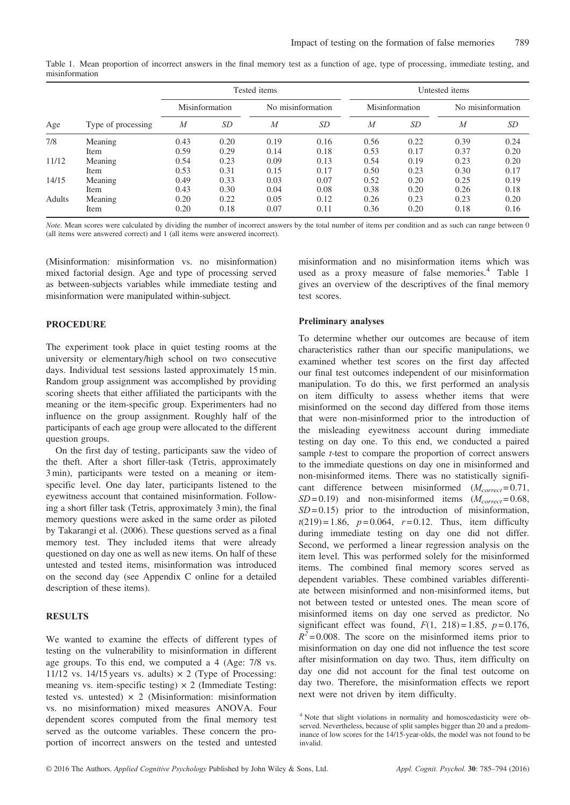| Age           | Type of processing | Tested items   |           |                   |           | Untested items |      |                   |      |
|---------------|--------------------|----------------|-----------|-------------------|-----------|----------------|------|-------------------|------|
|               |                    | Misinformation |           | No misinformation |           | Misinformation |      | No misinformation |      |
|               |                    | M              | <i>SD</i> | М                 | <i>SD</i> | M              | SD   | M                 | SD   |
| 7/8           | Meaning            | 0.43           | 0.20      | 0.19              | 0.16      | 0.56           | 0.22 | 0.39              | 0.24 |
|               | Item               | 0.59           | 0.29      | 0.14              | 0.18      | 0.53           | 0.17 | 0.37              | 0.20 |
| 11/12         | Meaning            | 0.54           | 0.23      | 0.09              | 0.13      | 0.54           | 0.19 | 0.23              | 0.20 |
|               | Item               | 0.53           | 0.31      | 0.15              | 0.17      | 0.50           | 0.23 | 0.30              | 0.17 |
| 14/15         | Meaning            | 0.49           | 0.33      | 0.03              | 0.07      | 0.52           | 0.20 | 0.25              | 0.19 |
|               | Item               | 0.43           | 0.30      | 0.04              | 0.08      | 0.38           | 0.20 | 0.26              | 0.18 |
| <b>Adults</b> | Meaning            | 0.20           | 0.22      | 0.05              | 0.12      | 0.26           | 0.23 | 0.23              | 0.20 |
|               | Item               | 0.20           | 0.18      | 0.07              | 0.11      | 0.36           | 0.20 | 0.18              | 0.16 |

Table 1. Mean proportion of incorrect answers in the final memory test as a function of age, type of processing, immediate testing, and misinformation

Note. Mean scores were calculated by dividing the number of incorrect answers by the total number of items per condition and as such can range between 0 (all items were answered correct) and 1 (all items were answered incorrect).

(Misinformation: misinformation vs. no misinformation) mixed factorial design. Age and type of processing served as between-subjects variables while immediate testing and misinformation were manipulated within-subject.

# PROCEDURE

The experiment took place in quiet testing rooms at the university or elementary/high school on two consecutive days. Individual test sessions lasted approximately 15 min. Random group assignment was accomplished by providing scoring sheets that either affiliated the participants with the meaning or the item-specific group. Experimenters had no influence on the group assignment. Roughly half of the participants of each age group were allocated to the different question groups.

On the first day of testing, participants saw the video of the theft. After a short filler-task (Tetris, approximately 3 min), participants were tested on a meaning or itemspecific level. One day later, participants listened to the eyewitness account that contained misinformation. Following a short filler task (Tetris, approximately 3 min), the final memory questions were asked in the same order as piloted by Takarangi et al. (2006). These questions served as a final memory test. They included items that were already questioned on day one as well as new items. On half of these untested and tested items, misinformation was introduced on the second day (see Appendix C online for a detailed description of these items).

# **RESULTS**

We wanted to examine the effects of different types of testing on the vulnerability to misinformation in different age groups. To this end, we computed a 4 (Age: 7/8 vs. 11/12 vs. 14/15 years vs. adults)  $\times$  2 (Type of Processing: meaning vs. item-specific testing)  $\times$  2 (Immediate Testing: tested vs. untested)  $\times$  2 (Misinformation: misinformation vs. no misinformation) mixed measures ANOVA. Four dependent scores computed from the final memory test served as the outcome variables. These concern the proportion of incorrect answers on the tested and untested misinformation and no misinformation items which was used as a proxy measure of false memories.<sup>4</sup> Table 1 gives an overview of the descriptives of the final memory test scores.

## Preliminary analyses

To determine whether our outcomes are because of item characteristics rather than our specific manipulations, we examined whether test scores on the first day affected our final test outcomes independent of our misinformation manipulation. To do this, we first performed an analysis on item difficulty to assess whether items that were misinformed on the second day differed from those items that were non-misinformed prior to the introduction of the misleading eyewitness account during immediate testing on day one. To this end, we conducted a paired sample *t*-test to compare the proportion of correct answers to the immediate questions on day one in misinformed and non-misinformed items. There was no statistically significant difference between misinformed  $(M_{correct} = 0.71,$  $SD = 0.19$ ) and non-misinformed items  $(M_{correct} = 0.68,$  $SD = 0.15$ ) prior to the introduction of misinformation,  $t(219) = 1.86$ ,  $p = 0.064$ ,  $r = 0.12$ . Thus, item difficulty during immediate testing on day one did not differ. Second, we performed a linear regression analysis on the item level. This was performed solely for the misinformed items. The combined final memory scores served as dependent variables. These combined variables differentiate between misinformed and non-misinformed items, but not between tested or untested ones. The mean score of misinformed items on day one served as predictor. No significant effect was found,  $F(1, 218) = 1.85$ ,  $p = 0.176$ ,  $R^2$ =0.008. The score on the misinformed items prior to misinformation on day one did not influence the test score after misinformation on day two. Thus, item difficulty on day one did not account for the final test outcome on day two. Therefore, the misinformation effects we report next were not driven by item difficulty.

<sup>4</sup> Note that slight violations in normality and homoscedasticity were observed. Nevertheless, because of split samples bigger than 20 and a predominance of low scores for the 14/15-year-olds, the model was not found to be invalid.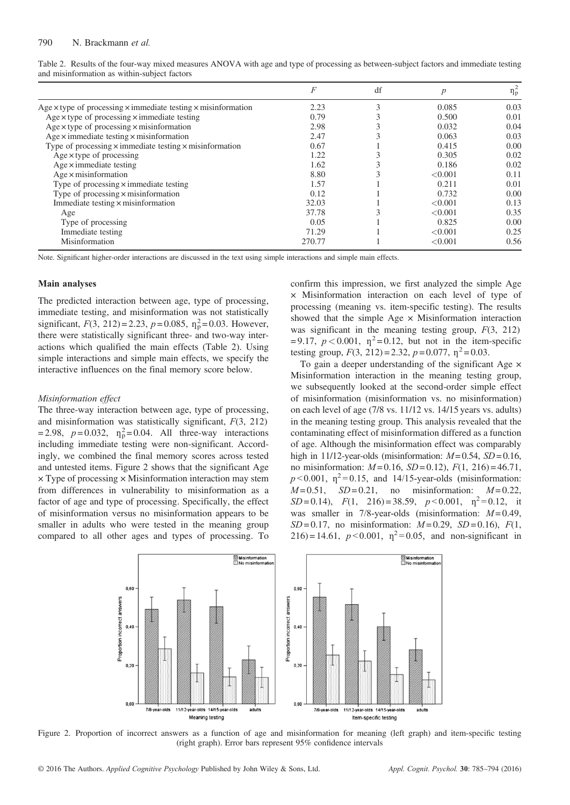|                                                                                    | F      | df | $\boldsymbol{p}$ | $\eta_p^2$ |
|------------------------------------------------------------------------------------|--------|----|------------------|------------|
| Age $\times$ type of processing $\times$ immediate testing $\times$ misinformation | 2.23   | 3  | 0.085            | 0.03       |
| Age $\times$ type of processing $\times$ immediate testing                         | 0.79   |    | 0.500            | 0.01       |
| Age $\times$ type of processing $\times$ misinformation                            | 2.98   |    | 0.032            | 0.04       |
| Age $\times$ immediate testing $\times$ misinformation                             | 2.47   |    | 0.063            | 0.03       |
| Type of processing $\times$ immediate testing $\times$ misinformation              | 0.67   |    | 0.415            | 0.00       |
| $Age \times type$ of processing                                                    | 1.22   |    | 0.305            | 0.02       |
| $Age \times immediate testing$                                                     | 1.62   |    | 0.186            | 0.02       |
| $Age \times misinformation$                                                        | 8.80   |    | < 0.001          | 0.11       |
| Type of processing $\times$ immediate testing                                      | 1.57   |    | 0.211            | 0.01       |
| Type of processing $\times$ misinformation                                         | 0.12   |    | 0.732            | 0.00       |
| Immediate testing $\times$ misinformation                                          | 32.03  |    | < 0.001          | 0.13       |
| Age                                                                                | 37.78  |    | < 0.001          | 0.35       |
| Type of processing                                                                 | 0.05   |    | 0.825            | 0.00       |
| Immediate testing                                                                  | 71.29  |    | < 0.001          | 0.25       |
| Misinformation                                                                     | 270.77 |    | < 0.001          | 0.56       |

Table 2. Results of the four-way mixed measures ANOVA with age and type of processing as between-subject factors and immediate testing and misinformation as within-subject factors

Note. Significant higher-order interactions are discussed in the text using simple interactions and simple main effects.

#### Main analyses

The predicted interaction between age, type of processing, immediate testing, and misinformation was not statistically significant,  $F(3, 212) = 2.23$ ,  $p = 0.085$ ,  $\eta_p^2 = 0.03$ . However, there were statistically significant three- and two-way interactions which qualified the main effects (Table 2). Using simple interactions and simple main effects, we specify the interactive influences on the final memory score below.

#### Misinformation effect

The three-way interaction between age, type of processing, and misinformation was statistically significant,  $F(3, 212)$  $= 2.98$ ,  $p = 0.032$ ,  $\eta_{\rm p}^2 = 0.04$ . All three-way interactions including immediate testing were non-significant. Accordingly, we combined the final memory scores across tested and untested items. Figure 2 shows that the significant Age  $\times$  Type of processing  $\times$  Misinformation interaction may stem from differences in vulnerability to misinformation as a factor of age and type of processing. Specifically, the effect of misinformation versus no misinformation appears to be smaller in adults who were tested in the meaning group compared to all other ages and types of processing. To confirm this impression, we first analyzed the simple Age × Misinformation interaction on each level of type of processing (meaning vs. item-specific testing). The results showed that the simple  $Age \times M$ isinformation interaction was significant in the meaning testing group,  $F(3, 212)$  $= 9.17$ ,  $p < 0.001$ ,  $\eta^2 = 0.12$ , but not in the item-specific testing group,  $F(3, 212) = 2.32$ ,  $p = 0.077$ ,  $p^2 = 0.03$ .

To gain a deeper understanding of the significant Age  $\times$ Misinformation interaction in the meaning testing group, we subsequently looked at the second-order simple effect of misinformation (misinformation vs. no misinformation) on each level of age (7/8 vs. 11/12 vs. 14/15 years vs. adults) in the meaning testing group. This analysis revealed that the contaminating effect of misinformation differed as a function of age. Although the misinformation effect was comparably high in 11/12-year-olds (misinformation:  $M=0.54$ ,  $SD=0.16$ , no misinformation:  $M=0.16$ ,  $SD=0.12$ ),  $F(1, 216)=46.71$ ,  $p < 0.001$ ,  $\eta^2 = 0.15$ , and 14/15-year-olds (misinformation:  $M=0.51$ ,  $SD=0.21$ , no misinformation:  $M=0.22$ ,  $SD = 0.14$ ,  $F(1, 216) = 38.59$ ,  $p < 0.001$ ,  $p^2 = 0.12$ , it was smaller in 7/8-year-olds (misinformation:  $M = 0.49$ ,  $SD = 0.17$ , no misinformation:  $M = 0.29$ ,  $SD = 0.16$ ),  $F(1, 0.15)$ 216) = 14.61,  $p < 0.001$ ,  $\eta^2 = 0.05$ , and non-significant in



Figure 2. Proportion of incorrect answers as a function of age and misinformation for meaning (left graph) and item-specific testing (right graph). Error bars represent 95% confidence intervals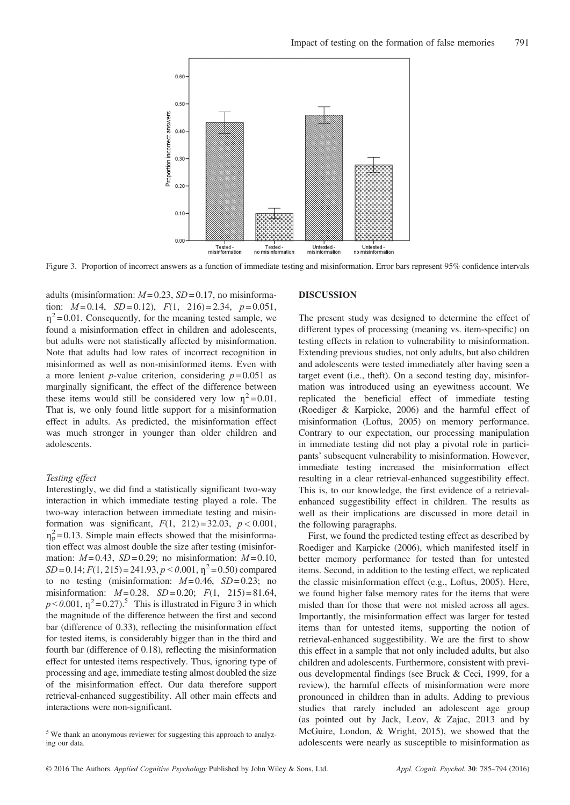

Figure 3. Proportion of incorrect answers as a function of immediate testing and misinformation. Error bars represent 95% confidence intervals

adults (misinformation:  $M = 0.23$ ,  $SD = 0.17$ , no misinformation:  $M=0.14$ ,  $SD=0.12$ ),  $F(1, 216)=2.34$ ,  $p=0.051$ ,  $\eta^2$ =0.01. Consequently, for the meaning tested sample, we found a misinformation effect in children and adolescents, but adults were not statistically affected by misinformation. Note that adults had low rates of incorrect recognition in misinformed as well as non-misinformed items. Even with a more lenient *p*-value criterion, considering  $p = 0.051$  as marginally significant, the effect of the difference between these items would still be considered very low  $\eta^2 = 0.01$ . That is, we only found little support for a misinformation effect in adults. As predicted, the misinformation effect was much stronger in younger than older children and adolescents.

#### Testing effect

Interestingly, we did find a statistically significant two-way interaction in which immediate testing played a role. The two-way interaction between immediate testing and misinformation was significant,  $F(1, 212) = 32.03$ ,  $p < 0.001$ ,  $\eta_p^2$ =0.13. Simple main effects showed that the misinformation effect was almost double the size after testing (misinformation:  $M=0.43$ ,  $SD=0.29$ ; no misinformation:  $M=0.10$ ,  $SD = 0.14$ ;  $F(1, 215) = 241.93$ ,  $p < 0.001$ ,  $p^2 = 0.50$ ) compared to no testing (misinformation:  $M=0.46$ ,  $SD=0.23$ ; no misinformation:  $M=0.28$ ,  $SD=0.20$ ;  $F(1, 215)=81.64$ ,  $p < 0.001$ ,  $\eta^2 = 0.27$ .<sup>5</sup> This is illustrated in Figure 3 in which the magnitude of the difference between the first and second bar (difference of 0.33), reflecting the misinformation effect for tested items, is considerably bigger than in the third and fourth bar (difference of 0.18), reflecting the misinformation effect for untested items respectively. Thus, ignoring type of processing and age, immediate testing almost doubled the size of the misinformation effect. Our data therefore support retrieval-enhanced suggestibility. All other main effects and interactions were non-significant.

#### DISCUSSION

The present study was designed to determine the effect of different types of processing (meaning vs. item-specific) on testing effects in relation to vulnerability to misinformation. Extending previous studies, not only adults, but also children and adolescents were tested immediately after having seen a target event (i.e., theft). On a second testing day, misinformation was introduced using an eyewitness account. We replicated the beneficial effect of immediate testing (Roediger & Karpicke, 2006) and the harmful effect of misinformation (Loftus, 2005) on memory performance. Contrary to our expectation, our processing manipulation in immediate testing did not play a pivotal role in participants' subsequent vulnerability to misinformation. However, immediate testing increased the misinformation effect resulting in a clear retrieval-enhanced suggestibility effect. This is, to our knowledge, the first evidence of a retrievalenhanced suggestibility effect in children. The results as well as their implications are discussed in more detail in the following paragraphs.

First, we found the predicted testing effect as described by Roediger and Karpicke (2006), which manifested itself in better memory performance for tested than for untested items. Second, in addition to the testing effect, we replicated the classic misinformation effect (e.g., Loftus, 2005). Here, we found higher false memory rates for the items that were misled than for those that were not misled across all ages. Importantly, the misinformation effect was larger for tested items than for untested items, supporting the notion of retrieval-enhanced suggestibility. We are the first to show this effect in a sample that not only included adults, but also children and adolescents. Furthermore, consistent with previous developmental findings (see Bruck & Ceci, 1999, for a review), the harmful effects of misinformation were more pronounced in children than in adults. Adding to previous studies that rarely included an adolescent age group (as pointed out by Jack, Leov, & Zajac, 2013 and by McGuire, London, & Wright, 2015), we showed that the adolescents were nearly as susceptible to misinformation as

<sup>5</sup> We thank an anonymous reviewer for suggesting this approach to analyzing our data.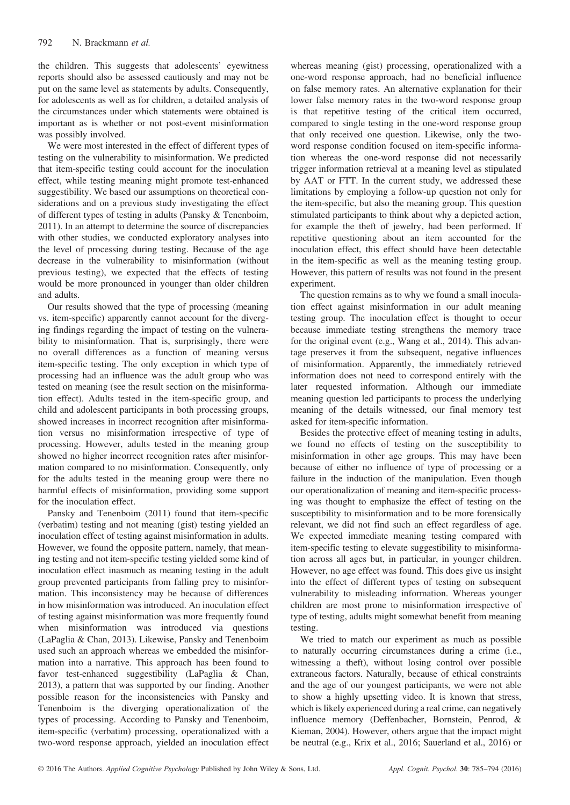the children. This suggests that adolescents' eyewitness reports should also be assessed cautiously and may not be put on the same level as statements by adults. Consequently, for adolescents as well as for children, a detailed analysis of the circumstances under which statements were obtained is important as is whether or not post-event misinformation was possibly involved.

We were most interested in the effect of different types of testing on the vulnerability to misinformation. We predicted that item-specific testing could account for the inoculation effect, while testing meaning might promote test-enhanced suggestibility. We based our assumptions on theoretical considerations and on a previous study investigating the effect of different types of testing in adults (Pansky & Tenenboim, 2011). In an attempt to determine the source of discrepancies with other studies, we conducted exploratory analyses into the level of processing during testing. Because of the age decrease in the vulnerability to misinformation (without previous testing), we expected that the effects of testing would be more pronounced in younger than older children and adults.

Our results showed that the type of processing (meaning vs. item-specific) apparently cannot account for the diverging findings regarding the impact of testing on the vulnerability to misinformation. That is, surprisingly, there were no overall differences as a function of meaning versus item-specific testing. The only exception in which type of processing had an influence was the adult group who was tested on meaning (see the result section on the misinformation effect). Adults tested in the item-specific group, and child and adolescent participants in both processing groups, showed increases in incorrect recognition after misinformation versus no misinformation irrespective of type of processing. However, adults tested in the meaning group showed no higher incorrect recognition rates after misinformation compared to no misinformation. Consequently, only for the adults tested in the meaning group were there no harmful effects of misinformation, providing some support for the inoculation effect.

Pansky and Tenenboim (2011) found that item-specific (verbatim) testing and not meaning (gist) testing yielded an inoculation effect of testing against misinformation in adults. However, we found the opposite pattern, namely, that meaning testing and not item-specific testing yielded some kind of inoculation effect inasmuch as meaning testing in the adult group prevented participants from falling prey to misinformation. This inconsistency may be because of differences in how misinformation was introduced. An inoculation effect of testing against misinformation was more frequently found when misinformation was introduced via questions (LaPaglia & Chan, 2013). Likewise, Pansky and Tenenboim used such an approach whereas we embedded the misinformation into a narrative. This approach has been found to favor test-enhanced suggestibility (LaPaglia & Chan, 2013), a pattern that was supported by our finding. Another possible reason for the inconsistencies with Pansky and Tenenboim is the diverging operationalization of the types of processing. According to Pansky and Tenenboim, item-specific (verbatim) processing, operationalized with a two-word response approach, yielded an inoculation effect whereas meaning (gist) processing, operationalized with a one-word response approach, had no beneficial influence on false memory rates. An alternative explanation for their lower false memory rates in the two-word response group is that repetitive testing of the critical item occurred, compared to single testing in the one-word response group that only received one question. Likewise, only the twoword response condition focused on item-specific information whereas the one-word response did not necessarily trigger information retrieval at a meaning level as stipulated by AAT or FTT. In the current study, we addressed these limitations by employing a follow-up question not only for the item-specific, but also the meaning group. This question stimulated participants to think about why a depicted action, for example the theft of jewelry, had been performed. If repetitive questioning about an item accounted for the inoculation effect, this effect should have been detectable in the item-specific as well as the meaning testing group. However, this pattern of results was not found in the present experiment.

The question remains as to why we found a small inoculation effect against misinformation in our adult meaning testing group. The inoculation effect is thought to occur because immediate testing strengthens the memory trace for the original event (e.g., Wang et al., 2014). This advantage preserves it from the subsequent, negative influences of misinformation. Apparently, the immediately retrieved information does not need to correspond entirely with the later requested information. Although our immediate meaning question led participants to process the underlying meaning of the details witnessed, our final memory test asked for item-specific information.

Besides the protective effect of meaning testing in adults, we found no effects of testing on the susceptibility to misinformation in other age groups. This may have been because of either no influence of type of processing or a failure in the induction of the manipulation. Even though our operationalization of meaning and item-specific processing was thought to emphasize the effect of testing on the susceptibility to misinformation and to be more forensically relevant, we did not find such an effect regardless of age. We expected immediate meaning testing compared with item-specific testing to elevate suggestibility to misinformation across all ages but, in particular, in younger children. However, no age effect was found. This does give us insight into the effect of different types of testing on subsequent vulnerability to misleading information. Whereas younger children are most prone to misinformation irrespective of type of testing, adults might somewhat benefit from meaning testing.

We tried to match our experiment as much as possible to naturally occurring circumstances during a crime (i.e., witnessing a theft), without losing control over possible extraneous factors. Naturally, because of ethical constraints and the age of our youngest participants, we were not able to show a highly upsetting video. It is known that stress, which is likely experienced during a real crime, can negatively influence memory (Deffenbacher, Bornstein, Penrod, & Kieman, 2004). However, others argue that the impact might be neutral (e.g., Krix et al., 2016; Sauerland et al., 2016) or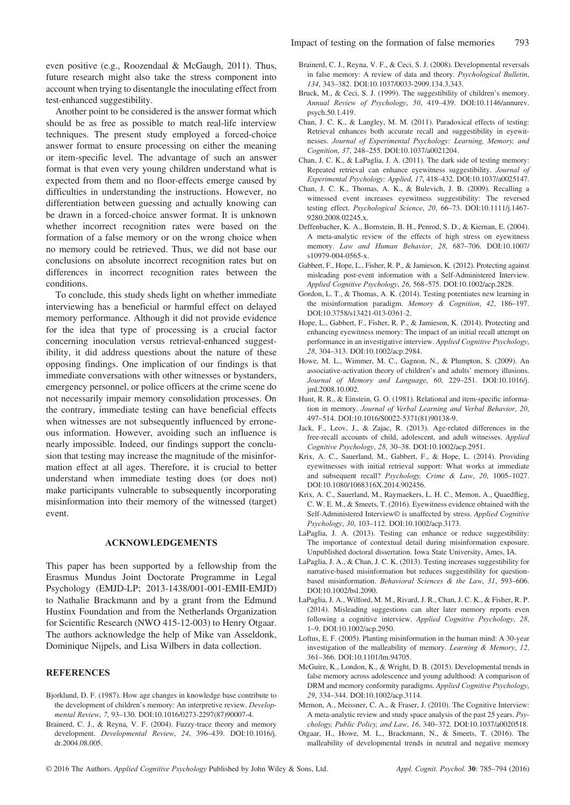even positive (e.g., Roozendaal & McGaugh, 2011). Thus, future research might also take the stress component into account when trying to disentangle the inoculating effect from test-enhanced suggestibility.

Another point to be considered is the answer format which should be as free as possible to match real-life interview techniques. The present study employed a forced-choice answer format to ensure processing on either the meaning or item-specific level. The advantage of such an answer format is that even very young children understand what is expected from them and no floor-effects emerge caused by difficulties in understanding the instructions. However, no differentiation between guessing and actually knowing can be drawn in a forced-choice answer format. It is unknown whether incorrect recognition rates were based on the formation of a false memory or on the wrong choice when no memory could be retrieved. Thus, we did not base our conclusions on absolute incorrect recognition rates but on differences in incorrect recognition rates between the conditions.

To conclude, this study sheds light on whether immediate interviewing has a beneficial or harmful effect on delayed memory performance. Although it did not provide evidence for the idea that type of processing is a crucial factor concerning inoculation versus retrieval-enhanced suggestibility, it did address questions about the nature of these opposing findings. One implication of our findings is that immediate conversations with other witnesses or bystanders, emergency personnel, or police officers at the crime scene do not necessarily impair memory consolidation processes. On the contrary, immediate testing can have beneficial effects when witnesses are not subsequently influenced by erroneous information. However, avoiding such an influence is nearly impossible. Indeed, our findings support the conclusion that testing may increase the magnitude of the misinformation effect at all ages. Therefore, it is crucial to better understand when immediate testing does (or does not) make participants vulnerable to subsequently incorporating misinformation into their memory of the witnessed (target) event.

### ACKNOWLEDGEMENTS

This paper has been supported by a fellowship from the Erasmus Mundus Joint Doctorate Programme in Legal Psychology (EMJD-LP; 2013-1438/001-001-EMII-EMJD) to Nathalie Brackmann and by a grant from the Edmund Hustinx Foundation and from the Netherlands Organization for Scientific Research (NWO 415-12-003) to Henry Otgaar. The authors acknowledge the help of Mike van Asseldonk, Dominique Nijpels, and Lisa Wilbers in data collection.

# **REFERENCES**

- Bjorklund, D. F. (1987). How age changes in knowledge base contribute to the development of children's memory: An interpretive review. Developmental Review, 7, 93–130. DOI[:10.1016/0273-2297\(87\)90007-4.](http://dx.doi.org/10.1016/j.dr.2004.08.005)
- Brainerd, C. J., & Reyna, V. F. (2004). Fuzzy-trace theory and memory development. Developmental Review, 24, 396–439. DOI:[10.1016/j.](http://dx.doi.org/10.1016/j.dr.2004.08.005) [dr.2004.08.005.](http://dx.doi.org/10.1016/j.dr.2004.08.005)
- Brainerd, C. J., Reyna, V. F., & Ceci, S. J. (2008). Developmental reversals in false memory: A review of data and theory. Psychological Bulletin, 134, 343–382. DOI:[10.1037/0033-2909.134.3.343.](http://dx.doi.org/10.1037/0033-2909.134.3.343)
- Bruck, M., & Ceci, S. J. (1999). The suggestibility of children's memory. Annual Review of Psychology, 50, 419–439. DOI[:10.1146/annurev.](http://dx.doi.org/10.1146/annurev.psych.50.1.419) [psych.50.1.419.](http://dx.doi.org/10.1146/annurev.psych.50.1.419)
- Chan, J. C. K., & Langley, M. M. (2011). Paradoxical effects of testing: Retrieval enhances both accurate recall and suggestibility in eyewitnesses. Journal of Experimental Psychology: Learning, Memory, and Cognition, 37, 248–255. DOI[:10.1037/a0021204.](http://dx.doi.org/10.1037/a0021204)
- Chan, J. C. K., & LaPaglia, J. A. (2011). The dark side of testing memory: Repeated retrieval can enhance eyewitness suggestibility. Journal of Experimental Psychology: Applied, 17, 418–432. DOI[:10.1037/a0025147.](http://dx.doi.org/10.1037/a0025147)
- Chan, J. C. K., Thomas, A. K., & Bulevich, J. B. (2009). Recalling a witnessed event increases eyewitness suggestibility: The reversed testing effect. Psychological Science, 20, 66–73. DOI[:10.1111/j.1467-](http://dx.doi.org/10.1111/j.1467-9280.2008.02245.x) [9280.2008.02245.x.](http://dx.doi.org/10.1111/j.1467-9280.2008.02245.x)
- Deffenbacher, K. A., Bornstein, B. H., Penrod, S. D., & Kiernan, E. (2004). A meta-analytic review of the effects of high stress on eyewitness memory. Law and Human Behavior, 28, 687–706. DOI:[10.1007/](http://dx.doi.org/10.1007/s10979-004-0565-x) [s10979-004-0565-x.](http://dx.doi.org/10.1007/s10979-004-0565-x)
- Gabbert, F., Hope, L., Fisher, R. P., & Jamieson, K. (2012). Protecting against misleading post-event information with a Self-Administered Interview. Applied Cognitive Psychology, 26, 568–575. DOI[:10.1002/acp.2828.](http://dx.doi.org/10.1002/acp.2828)
- Gordon, L. T., & Thomas, A. K. (2014). Testing potentiates new learning in the misinformation paradigm. Memory & Cognition, 42, 186–197. DOI[:10.3758/s13421-013-0361-2.](http://dx.doi.org/10.3758/s13421-013-0361-2)
- Hope, L., Gabbert, F., Fisher, R. P., & Jamieson, K. (2014). Protecting and enhancing eyewitness memory: The impact of an initial recall attempt on performance in an investigative interview. Applied Cognitive Psychology, 28, 304–313. DOI:[10.1002/acp.2984.](http://dx.doi.org/10.1002/acp.2984)
- Howe, M. L., Wimmer, M. C., Gagnon, N., & Plumpton, S. (2009). An associative-activation theory of children's and adults' memory illusions. Journal of Memory and Language, 60, 229–251. DOI:[10.1016/j.](http://dx.doi.org/10.1016/j.jml.2008.10.002) iml.2008.10.002.
- Hunt, R. R., & Einstein, G. O. (1981). Relational and item-specific information in memory. Journal of Verbal Learning and Verbal Behavior, 20, 497–514. DOI:[10.1016/S0022-5371\(81\)90138-9.](http://dx.doi.org/10.1016/S0022-5371(81)90138-9)
- Jack, F., Leov, J., & Zajac, R. (2013). Age-related differences in the free-recall accounts of child, adolescent, and adult witnesses. Applied Cognitive Psychology, 28, 30–38. DOI:[10.1002/acp.2951.](http://dx.doi.org/10.1002/acp.2951)
- Krix, A. C., Sauerland, M., Gabbert, F., & Hope, L. (2014). Providing eyewitnesses with initial retrieval support: What works at immediate and subsequent recall? Psychology, Crime & Law, 20, 1005–1027. DOI[:10.1080/1068316X.2014.902456.](http://dx.doi.org/10.1080/1068316X.2014.902456)
- Krix, A. C., Sauerland, M., Raymaekers, L. H. C., Memon, A., Quaedflieg, C. W. E. M., & Smeets, T. (2016). Eyewitness evidence obtained with the Self-Administered Interview© is unaffected by stress. Applied Cognitive Psychology, 30, 103–112. DOI:[10.1002/acp.3173.](http://dx.doi.org/10.1002/acp.3173)
- LaPaglia, J. A. (2013). Testing can enhance or reduce suggestibility: The importance of contextual detail during misinformation exposure. Unpublished doctoral dissertation. Iowa State University, Ames, IA.
- LaPaglia, J. A., & Chan, J. C. K. (2013). Testing increases suggestibility for narrative-based misinformation but reduces suggestibility for questionbased misinformation. Behavioral Sciences & the Law, 31, 593–606. DOI[:10.1002/bsl.2090.](http://dx.doi.org/10.1002/bsl.2090)
- LaPaglia, J. A., Wilford, M. M., Rivard, J. R., Chan, J. C. K., & Fisher, R. P. (2014). Misleading suggestions can alter later memory reports even following a cognitive interview. Applied Cognitive Psychology, 28, 1–9. DOI:[10.1002/acp.2950.](http://dx.doi.org/10.1002/acp.2950)
- Loftus, E. F. (2005). Planting misinformation in the human mind: A 30-year investigation of the malleability of memory. Learning & Memory, 12, 361–366. DOI:[10.1101/lm.94705.](http://dx.doi.org/10.1101/lm.94705)
- McGuire, K., London, K., & Wright, D. B. (2015). Developmental trends in false memory across adolescence and young adulthood: A comparison of DRM and memory conformity paradigms. Applied Cognitive Psychology, 29, 334–344. DOI:[10.1002/acp.3114.](http://dx.doi.org/10.1002/acp.3114)
- Memon, A., Meissner, C. A., & Fraser, J. (2010). The Cognitive Interview: A meta-analytic review and study space analysis of the past 25 years. Psychology, Public Policy, and Law, 16, 340–372. DOI:[10.1037/a0020518.](http://dx.doi.org/10.1037/a0020518)
- Otgaar, H., Howe, M. L., Brackmann, N., & Smeets, T. (2016). The malleability of developmental trends in neutral and negative memory